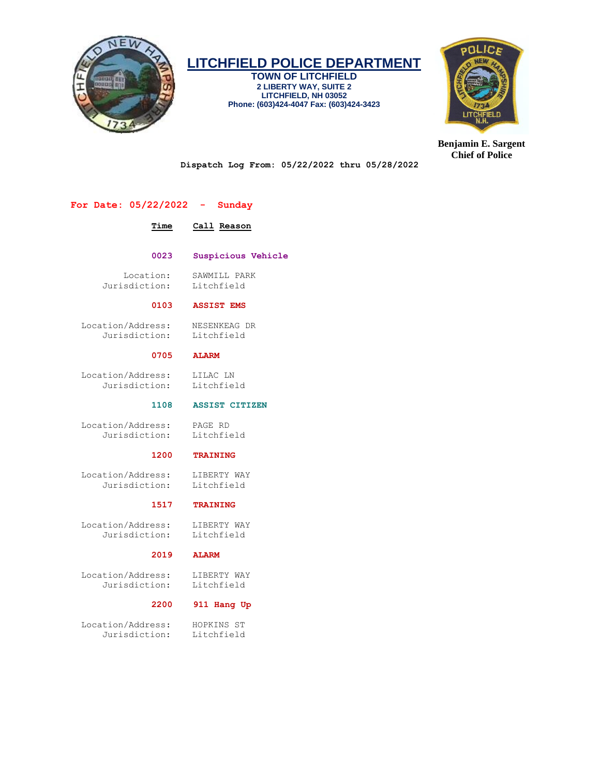

**TOWN OF LITCHFIELD 2 LIBERTY WAY, SUITE 2 LITCHFIELD, NH 03052 Phone: (603)424-4047 Fax: (603)424-3423**



**Benjamin E. Sargent Chief of Police**

**Dispatch Log From: 05/22/2022 thru 05/28/2022**

# **For Date: 05/22/2022 - Sunday**

# **Time Call Reason**

 **0023 Suspicious Vehicle**

 Location: SAWMILL PARK Jurisdiction: Litchfield

#### **0103 ASSIST EMS**

 Location/Address: NESENKEAG DR Jurisdiction: Litchfield

# **0705 ALARM**

 Location/Address: LILAC LN Jurisdiction: Litchfield

 **1108 ASSIST CITIZEN**

 Location/Address: PAGE RD Jurisdiction:

## **1200 TRAINING**

 Location/Address: LIBERTY WAY Jurisdiction: Litchfield

# **1517 TRAINING**

 Location/Address: LIBERTY WAY Jurisdiction: Litchfield

#### **2019 ALARM**

 Location/Address: LIBERTY WAY Jurisdiction: Litchfield

### **2200 911 Hang Up**

 Location/Address: HOPKINS ST Jurisdiction: Litchfield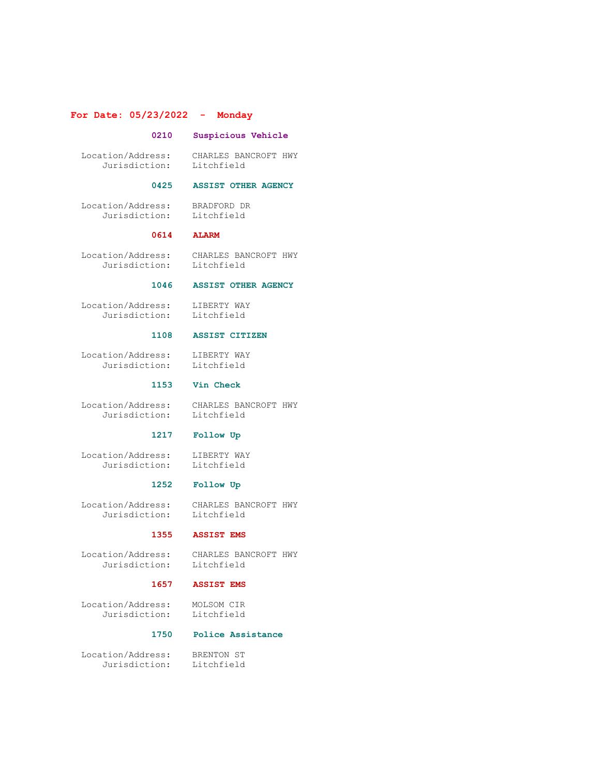# **For Date: 05/23/2022 - Monday**

#### **0210 Suspicious Vehicle**

 Location/Address: CHARLES BANCROFT HWY Jurisdiction: Litchfield

 **0614 ALARM**

#### **0425 ASSIST OTHER AGENCY**

 Location/Address: BRADFORD DR Jurisdiction: Litchfield

Location/Address: CHARLES BANCROFT HWY

Jurisdiction: Litchfield

# **1046 ASSIST OTHER AGENCY**

 Location/Address: LIBERTY WAY Jurisdiction: Litchfield

#### **1108 ASSIST CITIZEN**

 Location/Address: LIBERTY WAY Jurisdiction: Litchfield

# **1153 Vin Check**

 Location/Address: CHARLES BANCROFT HWY Jurisdiction: Litchfield

#### **1217 Follow Up**

 Location/Address: LIBERTY WAY Jurisdiction: Litchfield

# **1252 Follow Up**

 Location/Address: CHARLES BANCROFT HWY Jurisdiction: Litchfield

# **1355 ASSIST EMS**

 Location/Address: CHARLES BANCROFT HWY Jurisdiction: Litchfield

 Location/Address: MOLSOM CIR Jurisdiction: Litchfield

# **1657 ASSIST EMS**

# **1750 Police Assistance**

 Location/Address: BRENTON ST Jurisdiction: Litchfield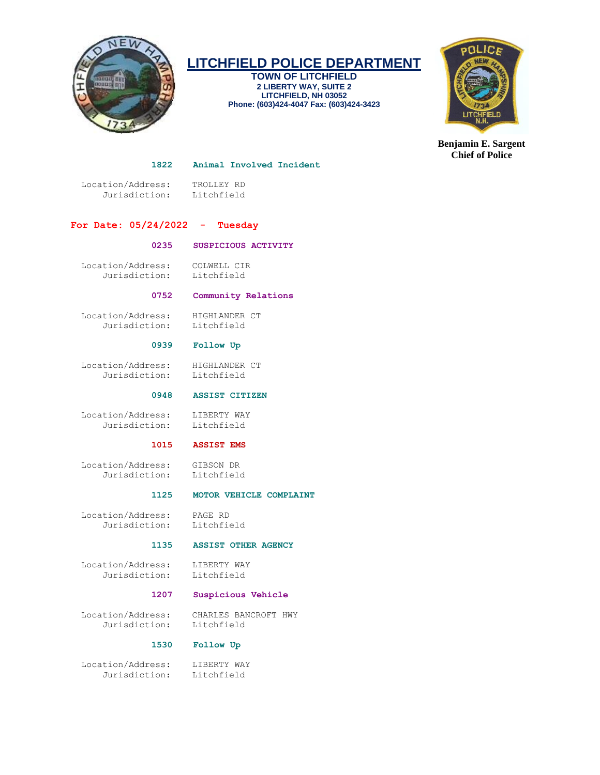

**TOWN OF LITCHFIELD 2 LIBERTY WAY, SUITE 2 LITCHFIELD, NH 03052 Phone: (603)424-4047 Fax: (603)424-3423**



**Benjamin E. Sargent Chief of Police**

#### **1822 Animal Involved Incident**

 Location/Address: TROLLEY RD Jurisdiction: Litchfield

# **For Date: 05/24/2022 - Tuesday**

## **0235 SUSPICIOUS ACTIVITY**

 Location/Address: COLWELL CIR Jurisdiction: Litchfield

# **0752 Community Relations**

 Location/Address: HIGHLANDER CT Jurisdiction: Litchfield

# **0939 Follow Up**

 Location/Address: HIGHLANDER CT Jurisdiction: Litchfield

### **0948 ASSIST CITIZEN**

Location/Address: LIBERTY WAY<br>Jurisdiction: Litchfield Jurisdiction:

## **1015 ASSIST EMS**

# **1125 MOTOR VEHICLE COMPLAINT**

 Location/Address: PAGE RD Jurisdiction: Litchfield

 **1135 ASSIST OTHER AGENCY**

 Location/Address: LIBERTY WAY Jurisdiction: Litchfield

### **1207 Suspicious Vehicle**

 Location/Address: CHARLES BANCROFT HWY Jurisdiction:

# **1530 Follow Up**

 Location/Address: LIBERTY WAY Jurisdiction: Litchfield

 Location/Address: GIBSON DR Jurisdiction: Litchfield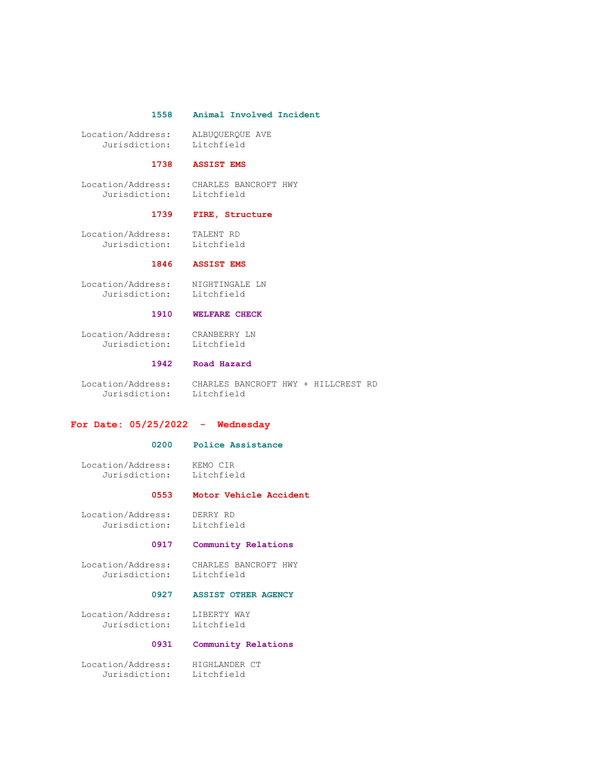#### **1558 Animal Involved Incident**

 Location/Address: ALBUQUERQUE AVE Jurisdiction: Litchfield

#### **1738 ASSIST EMS**

 Location/Address: CHARLES BANCROFT HWY Jurisdiction: Litchfield

#### **1739 FIRE, Structure**

 Location/Address: TALENT RD Jurisdiction: Litchfield

# **1846 ASSIST EMS**

 Location/Address: NIGHTINGALE LN Jurisdiction: Litchfield

#### **1910 WELFARE CHECK**

 Location/Address: CRANBERRY LN Jurisdiction: Litchfield

#### **1942 Road Hazard**

 Location/Address: CHARLES BANCROFT HWY + HILLCREST RD Jurisdiction: Litchfield

#### **For Date: 05/25/2022 - Wednesday**

#### **0200 Police Assistance**

 Location/Address: KEMO CIR Jurisdiction: Litchfield

#### **0553 Motor Vehicle Accident**

 Location/Address: DERRY RD Jurisdiction: Litchfield

#### **0917 Community Relations**

 Location/Address: CHARLES BANCROFT HWY Jurisdiction: Litchfield

#### **0927 ASSIST OTHER AGENCY**

Location/Address: LIBERTY WAY<br>Jurisdiction: Litchfield Jurisdiction:

# **0931 Community Relations**

 Location/Address: HIGHLANDER CT Jurisdiction: Litchfield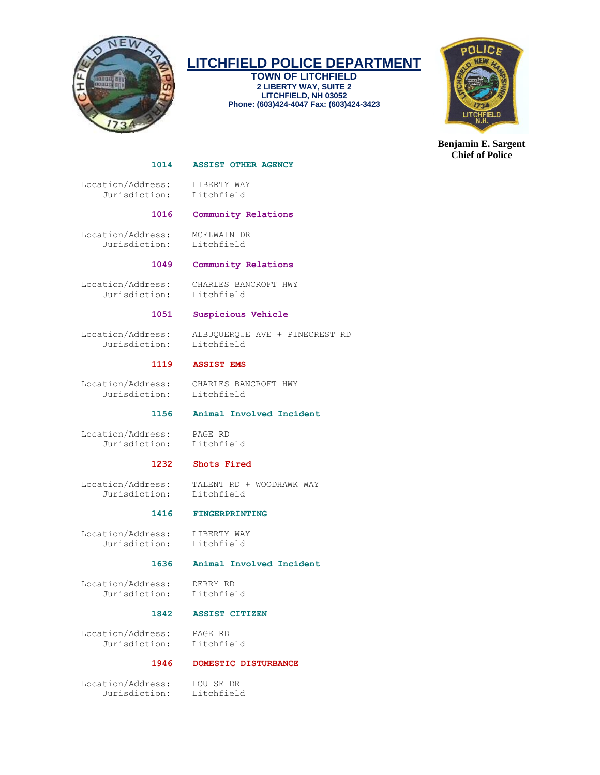

**TOWN OF LITCHFIELD 2 LIBERTY WAY, SUITE 2 LITCHFIELD, NH 03052 Phone: (603)424-4047 Fax: (603)424-3423**



**Benjamin E. Sargent Chief of Police**

#### **1014 ASSIST OTHER AGENCY**

 Location/Address: LIBERTY WAY Jurisdiction: Litchfield

#### **1016 Community Relations**

 Location/Address: MCELWAIN DR Jurisdiction: Litchfield

#### **1049 Community Relations**

Jurisdiction: Litchfield

Location/Address: CHARLES BANCROFT HWY

#### **1051 Suspicious Vehicle**

Jurisdiction: Litchfield

Location/Address: ALBUQUERQUE AVE + PINECREST RD

#### **1119 ASSIST EMS**

 Location/Address: CHARLES BANCROFT HWY Jurisdiction: Litchfield

# **1156 Animal Involved Incident**

 Location/Address: PAGE RD Jurisdiction: Litchfield

# **1232 Shots Fired**

 Location/Address: TALENT RD + WOODHAWK WAY Jurisdiction: Litchfield

#### **1416 FINGERPRINTING**

 Location/Address: LIBERTY WAY Jurisdiction: Litchfield

# **1636 Animal Involved Incident**

 Location/Address: DERRY RD Jurisdiction: Litchfield

# **1842 ASSIST CITIZEN**

 Location/Address: PAGE RD Jurisdiction: Litchfield

#### **1946 DOMESTIC DISTURBANCE**

 Location/Address: LOUISE DR Jurisdiction: Litchfield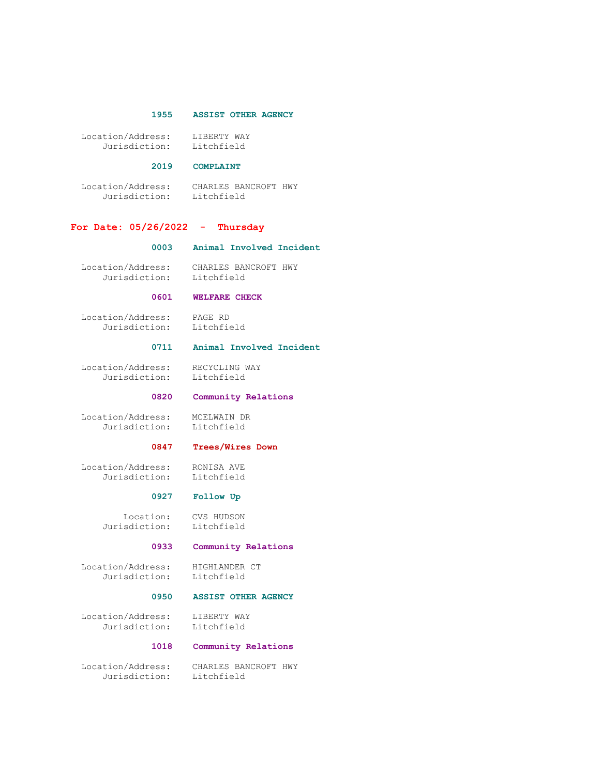## **1955 ASSIST OTHER AGENCY**

| Location/Address: | LIBERTY WAY |
|-------------------|-------------|
| Jurisdiction:     | Litchfield  |

# **2019 COMPLAINT**

 Location/Address: CHARLES BANCROFT HWY Jurisdiction: Litchfield

# **For Date: 05/26/2022 - Thursday**

#### **0003 Animal Involved Incident**

 Location/Address: CHARLES BANCROFT HWY Jurisdiction: Litchfield

#### **0601 WELFARE CHECK**

 Location/Address: PAGE RD Jurisdiction: Litchfield

# **0711 Animal Involved Incident**

 Location/Address: RECYCLING WAY Jurisdiction: Litchfield

## **0820 Community Relations**

 Location/Address: MCELWAIN DR Jurisdiction: Litchfield

#### **0847 Trees/Wires Down**

 Location/Address: RONISA AVE Jurisdiction: Litchfield

# **0927 Follow Up**

 Location: CVS HUDSON Jurisdiction: Litchfield

# **0933 Community Relations**

 Location/Address: HIGHLANDER CT Jurisdiction: Litchfield

# **0950 ASSIST OTHER AGENCY**

 Location/Address: LIBERTY WAY Jurisdiction: Litchfield

#### **1018 Community Relations**

 Location/Address: CHARLES BANCROFT HWY Jurisdiction: Litchfield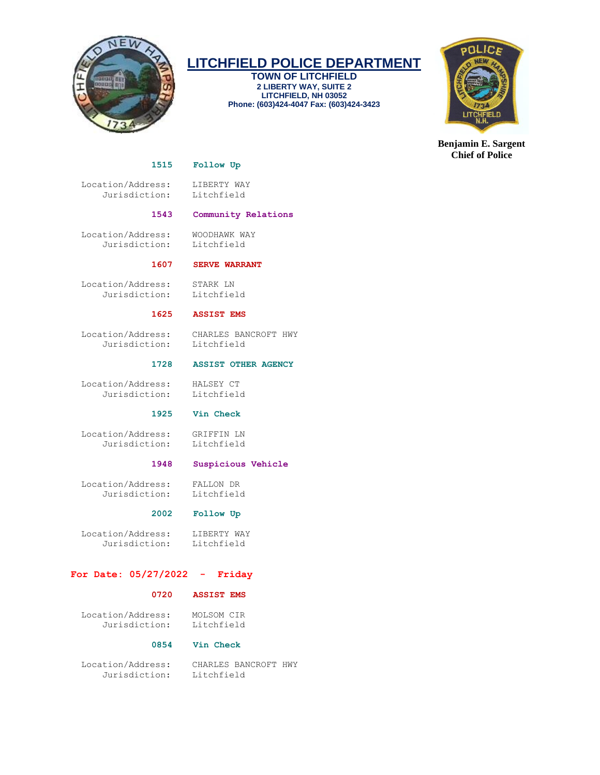

**TOWN OF LITCHFIELD 2 LIBERTY WAY, SUITE 2 LITCHFIELD, NH 03052 Phone: (603)424-4047 Fax: (603)424-3423**



**Benjamin E. Sargent Chief of Police**

# **1515 Follow Up**

 Location/Address: LIBERTY WAY Jurisdiction: Litchfield

# **1543 Community Relations**

 Location/Address: WOODHAWK WAY Jurisdiction: Litchfield

# **1607 SERVE WARRANT**

 Location/Address: STARK LN Jurisdiction: Litchfield

# **1625 ASSIST EMS**

 Location/Address: CHARLES BANCROFT HWY Jurisdiction: Litchfield

## **1728 ASSIST OTHER AGENCY**

 Location/Address: HALSEY CT Jurisdiction: Litchfield

# **1925 Vin Check**

 Location/Address: GRIFFIN LN Jurisdiction: Litchfield

# **1948 Suspicious Vehicle**

 Location/Address: FALLON DR Jurisdiction: Litchfield

# **2002 Follow Up**

 Location/Address: LIBERTY WAY Jurisdiction: Litchfield

# **For Date: 05/27/2022 - Friday**

# **0720 ASSIST EMS**

 Location/Address: MOLSOM CIR Jurisdiction: Litchfield

# **0854 Vin Check**

 Location/Address: CHARLES BANCROFT HWY Jurisdiction: Litchfield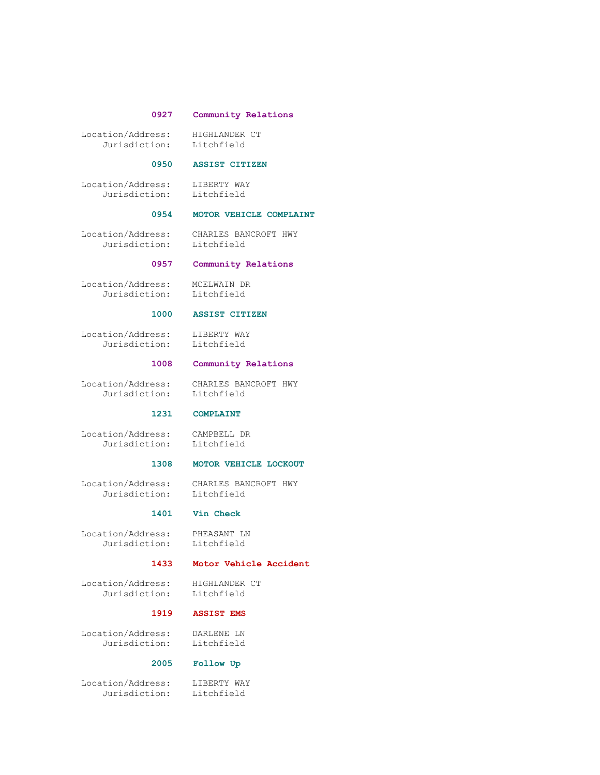#### **0927 Community Relations**

 Location/Address: HIGHLANDER CT Jurisdiction: Litchfield

#### **0950 ASSIST CITIZEN**

 Location/Address: LIBERTY WAY Jurisdiction: Litchfield

## **0954 MOTOR VEHICLE COMPLAINT**

Jurisdiction: Litchfield

Location/Address: CHARLES BANCROFT HWY

# **0957 Community Relations**

 Location/Address: MCELWAIN DR Jurisdiction: Litchfield

# **1000 ASSIST CITIZEN**

 Location/Address: LIBERTY WAY Jurisdiction: Litchfield

#### **1008 Community Relations**

 Location/Address: CHARLES BANCROFT HWY Jurisdiction: Litchfield

# **1231 COMPLAINT**

 Location/Address: CAMPBELL DR Jurisdiction: Litchfield

# **1308 MOTOR VEHICLE LOCKOUT**

 Location/Address: CHARLES BANCROFT HWY Jurisdiction: Litchfield

## **1401 Vin Check**

 Location/Address: PHEASANT LN Jurisdiction: Litchfield

# **1433 Motor Vehicle Accident**

 Location/Address: HIGHLANDER CT Jurisdiction: Litchfield

# **1919 ASSIST EMS**

 Location/Address: DARLENE LN Jurisdiction: Litchfield

#### **2005 Follow Up**

 Location/Address: LIBERTY WAY Jurisdiction: Litchfield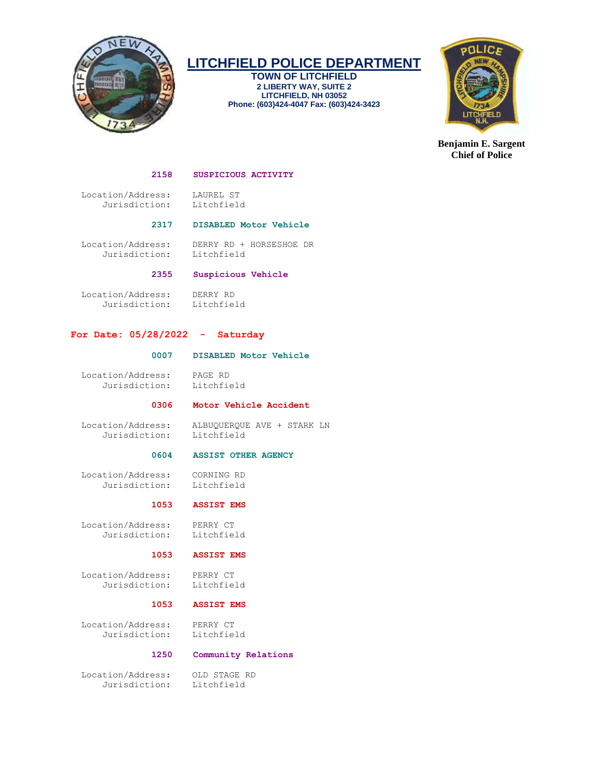

**TOWN OF LITCHFIELD 2 LIBERTY WAY, SUITE 2 LITCHFIELD, NH 03052 Phone: (603)424-4047 Fax: (603)424-3423**



**Benjamin E. Sargent Chief of Police**

#### **2158 SUSPICIOUS ACTIVITY**

 Location/Address: LAUREL ST Jurisdiction: Litchfield

 **2317 DISABLED Motor Vehicle**

 Location/Address: DERRY RD + HORSESHOE DR Jurisdiction:

# **2355 Suspicious Vehicle**

 Location/Address: DERRY RD Jurisdiction: Litchfield

# **For Date: 05/28/2022 - Saturday**

# **0007 DISABLED Motor Vehicle**

Location/Address: PAGE RD

Jurisdiction: Litchfield

# **0306 Motor Vehicle Accident**

 Location/Address: ALBUQUERQUE AVE + STARK LN Jurisdiction:

## **0604 ASSIST OTHER AGENCY**

 Location/Address: CORNING RD Jurisdiction: Litchfield

# **1053 ASSIST EMS**

 Location/Address: PERRY CT Jurisdiction: Litchfield

#### **1053 ASSIST EMS**

 Location/Address: PERRY CT Jurisdiction: Litchfield

### **1053 ASSIST EMS**

 Location/Address: PERRY CT Jurisdiction: Litchfield

#### **1250 Community Relations**

 Location/Address: OLD STAGE RD Jurisdiction: Litchfield